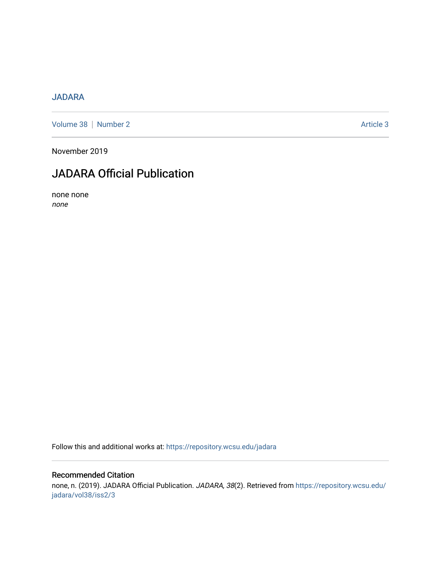#### [JADARA](https://repository.wcsu.edu/jadara)

[Volume 38](https://repository.wcsu.edu/jadara/vol38) | [Number 2](https://repository.wcsu.edu/jadara/vol38/iss2) Article 3

November 2019

# JADARA Official Publication

none none none

Follow this and additional works at: [https://repository.wcsu.edu/jadara](https://repository.wcsu.edu/jadara?utm_source=repository.wcsu.edu%2Fjadara%2Fvol38%2Fiss2%2F3&utm_medium=PDF&utm_campaign=PDFCoverPages)

#### Recommended Citation

none, n. (2019). JADARA Official Publication. JADARA, 38(2). Retrieved from [https://repository.wcsu.edu/](https://repository.wcsu.edu/jadara/vol38/iss2/3?utm_source=repository.wcsu.edu%2Fjadara%2Fvol38%2Fiss2%2F3&utm_medium=PDF&utm_campaign=PDFCoverPages) [jadara/vol38/iss2/3](https://repository.wcsu.edu/jadara/vol38/iss2/3?utm_source=repository.wcsu.edu%2Fjadara%2Fvol38%2Fiss2%2F3&utm_medium=PDF&utm_campaign=PDFCoverPages)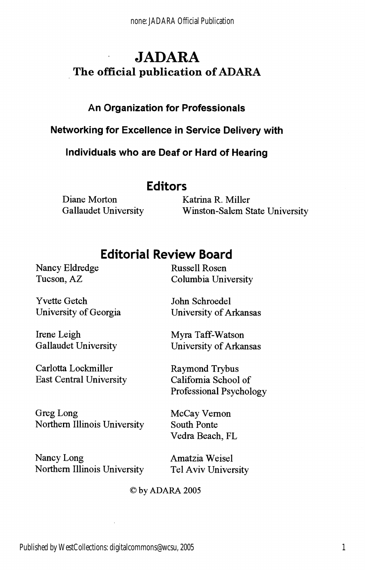## JADARA The official publication of ADARA

### An Organization for Professionals

Networking for Excellence in Service Delivery with

individuals who are Deaf or Hard of Hearing

### Editors

Diane Morton Katrina R. Miller

Gallaudet University Winston-Salem State University

## Editorial Review Board

Nancy Eldredge Russell Rosen

Yvette Getch John Schroedel

Irene Leigh Myra Taff-Watson

Carlotta Lockmiller Raymond Trybus East Central University California School of

Greg Long McCay Vernon Northern Illinois University South Ponte

Nancy Long Amatzia Weisel Northern Illinois University Tel Aviv University

Tucson, AZ Columbia University

University of Georgia University of Arkansas

Gallaudet University University of Arkansas

Professional Psychology

Vedra Beach, FL

©by ADARA 2005

Published by WestCollections: digitalcommons@wcsu, 2005